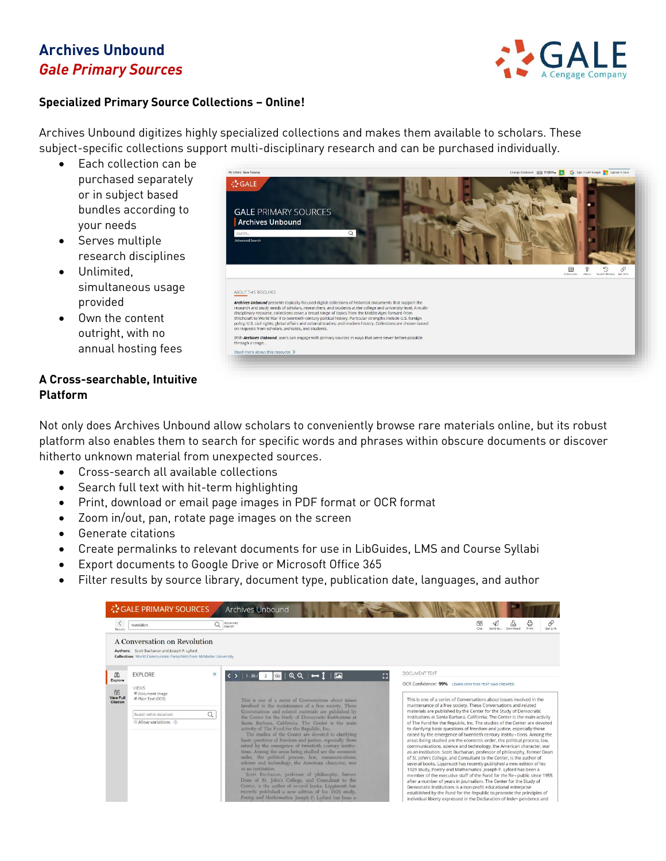## **Archives Unbound** *Gale Primary Sources*



#### **Specialized Primary Source Collections – Online!**

Archives Unbound digitizes highly specialized collections and makes them available to scholars. These subject-specific collections support multi-disciplinary research and can be purchased individually.

- Fach collection can be purchased separately or in subject based bundles according to your needs
- Serves multiple research disciplines
- Unlimited, simultaneous usage provided
- Own the content outright, with no annual hosting fees

#### **A Cross-searchable, Intuitive Platform**



Not only does Archives Unbound allow scholars to conveniently browse rare materials online, but its robust platform also enables them to search for specific words and phrases within obscure documents or discover hitherto unknown material from unexpected sources.

- Cross-search all available collections
- Search full text with hit-term highlighting
- Print, download or email page images in PDF format or OCR format
- Zoom in/out, pan, rotate page images on the screen
- Generate citations
- Create permalinks to relevant documents for use in LibGuides, LMS and Course Syllabi
- Export documents to Google Drive or Microsoft Office 365
- Filter results by source library, document type, publication date, languages, and author